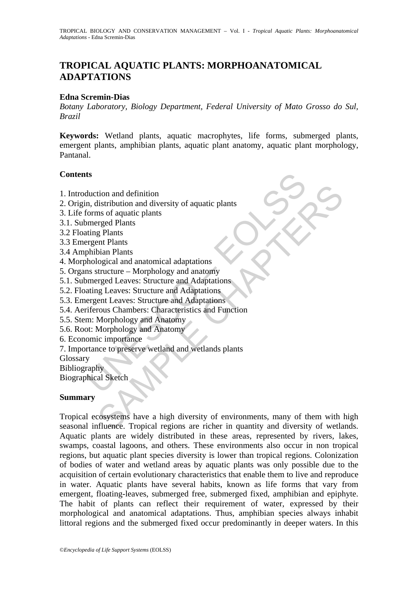# **TROPICAL AQUATIC PLANTS: MORPHOANATOMICAL ADAPTATIONS**

#### **Edna Scremin-Dias**

*Botany Laboratory, Biology Department, Federal University of Mato Grosso do Sul, Brazil* 

**Keywords:** Wetland plants, aquatic macrophytes, life forms, submerged plants, emergent plants, amphibian plants, aquatic plant anatomy, aquatic plant morphology, Pantanal.

### **Contents**

- 1. Introduction and definition
- 2. Origin, distribution and diversity of aquatic plants
- 3. Life forms of aquatic plants
- 3.1. Submerged Plants
- 3.2 Floating Plants
- 3.3 Emergent Plants
- 3.4 Amphibian Plants
- 4. Morphological and anatomical adaptations
- 5. Organs structure Morphology and anatomy
- ts<br>
duction and definition<br>
n, distribution and diversity of aquatic plants<br>
forms of aquatic plants<br>
merged Plants<br>
merged Plants<br>
merged Plants<br>
regnent Plants<br>
phibian Plants<br>
structure Morphology and anatomy<br>
merged 5.1. Submerged Leaves: Structure and Adaptations
- 5.2. Floating Leaves: Structure and Adaptations
- 5.3. Emergent Leaves: Structure and Adaptations
- 5.4. Aeriferous Chambers: Characteristics and Function
- 5.5. Stem: Morphology and Anatomy
- 5.6. Root: Morphology and Anatomy
- 6. Economic importance
- 7. Importance to preserve wetland and wetlands plants
- Glossary
- Bibliography
- Biographical Sketch

## **Summary**

tion and definition<br>
listribution and diversity of aquatic plants<br>
mg Plants<br>
are deplants<br>
g Plants<br>
ent Plants<br>
g Plants<br>
ent Plants<br>
ent Plants<br>
ent Plants<br>
tiructure – Morphology and anatomics<br>
structure – Morphology a Tropical ecosystems have a high diversity of environments, many of them with high seasonal influence. Tropical regions are richer in quantity and diversity of wetlands. Aquatic plants are widely distributed in these areas, represented by rivers, lakes, swamps, coastal lagoons, and others. These environments also occur in non tropical regions, but aquatic plant species diversity is lower than tropical regions. Colonization of bodies of water and wetland areas by aquatic plants was only possible due to the acquisition of certain evolutionary characteristics that enable them to live and reproduce in water. Aquatic plants have several habits, known as life forms that vary from emergent, floating-leaves, submerged free, submerged fixed, amphibian and epiphyte. The habit of plants can reflect their requirement of water, expressed by their morphological and anatomical adaptations. Thus, amphibian species always inhabit littoral regions and the submerged fixed occur predominantly in deeper waters. In this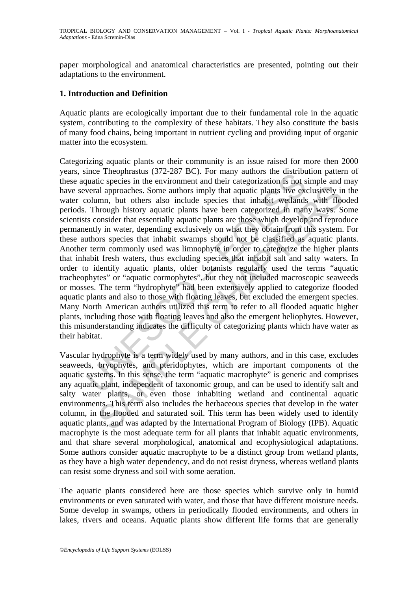paper morphological and anatomical characteristics are presented, pointing out their adaptations to the environment.

#### **1. Introduction and Definition**

Aquatic plants are ecologically important due to their fundamental role in the aquatic system, contributing to the complexity of these habitats. They also constitute the basis of many food chains, being important in nutrient cycling and providing input of organic matter into the ecosystem.

Inter Treophnastal (3722-267 BC). FOI many atunors the ustribute<br>quatic species in the environment and their categorization is not sy<br>everal approaches. Some authors imply that aquatic plants live excelumn, but others also and approaches. Some authors imply that aquatic plants live exclusively ir<br>and approaches. Some authors imply that aquatic plants live exclusively ir<br>abrown) history aquatic plants have been categorized in many ways. So<br>mo Categorizing aquatic plants or their community is an issue raised for more then 2000 years, since Theophrastus (372-287 BC). For many authors the distribution pattern of these aquatic species in the environment and their categorization is not simple and may have several approaches. Some authors imply that aquatic plants live exclusively in the water column, but others also include species that inhabit wetlands with flooded periods. Through history aquatic plants have been categorized in many ways. Some scientists consider that essentially aquatic plants are those which develop and reproduce permanently in water, depending exclusively on what they obtain from this system. For these authors species that inhabit swamps should not be classified as aquatic plants. Another term commonly used was limnophyte in order to categorize the higher plants that inhabit fresh waters, thus excluding species that inhabit salt and salty waters. In order to identify aquatic plants, older botanists regularly used the terms "aquatic tracheophytes" or "aquatic cormophytes", but they not included macroscopic seaweeds or mosses. The term "hydrophyte" had been extensively applied to categorize flooded aquatic plants and also to those with floating leaves, but excluded the emergent species. Many North American authors utilized this term to refer to all flooded aquatic higher plants, including those with floating leaves and also the emergent heliophytes. However, this misunderstanding indicates the difficulty of categorizing plants which have water as their habitat.

Vascular hydrophyte is a term widely used by many authors, and in this case, excludes seaweeds, bryophytes, and pteridophytes, which are important components of the aquatic systems. In this sense, the term "aquatic macrophyte" is generic and comprises any aquatic plant, independent of taxonomic group, and can be used to identify salt and salty water plants, or even those inhabiting wetland and continental aquatic environments. This term also includes the herbaceous species that develop in the water column, in the flooded and saturated soil. This term has been widely used to identify aquatic plants, and was adapted by the International Program of Biology (IPB). Aquatic macrophyte is the most adequate term for all plants that inhabit aquatic environments, and that share several morphological, anatomical and ecophysiological adaptations. Some authors consider aquatic macrophyte to be a distinct group from wetland plants, as they have a high water dependency, and do not resist dryness, whereas wetland plants can resist some dryness and soil with some aeration.

The aquatic plants considered here are those species which survive only in humid environments or even saturated with water, and those that have different moisture needs. Some develop in swamps, others in periodically flooded environments, and others in lakes, rivers and oceans. Aquatic plants show different life forms that are generally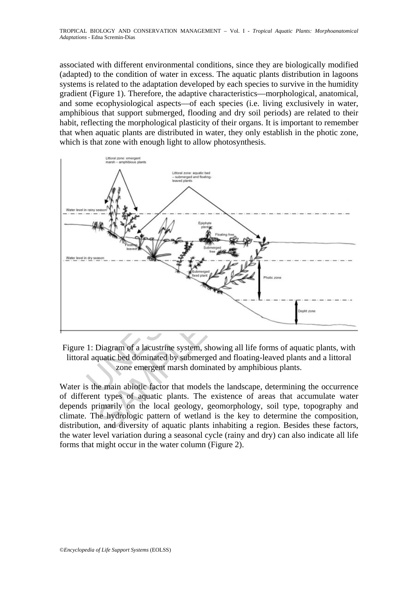associated with different environmental conditions, since they are biologically modified (adapted) to the condition of water in excess. The aquatic plants distribution in lagoons systems is related to the adaptation developed by each species to survive in the humidity gradient (Figure 1). Therefore, the adaptive characteristics—morphological, anatomical, and some ecophysiological aspects—of each species (i.e. living exclusively in water, amphibious that support submerged, flooding and dry soil periods) are related to their habit, reflecting the morphological plasticity of their organs. It is important to remember that when aquatic plants are distributed in water, they only establish in the photic zone, which is that zone with enough light to allow photosynthesis.



Figure 1: Diagram of a lacustrine system, showing all life forms of aquatic plants, with littoral aquatic bed dominated by submerged and floating-leaved plants and a littoral zone emergent marsh dominated by amphibious plants.

Water is the main abiotic factor that models the landscape, determining the occurrence of different types of aquatic plants. The existence of areas that accumulate water depends primarily on the local geology, geomorphology, soil type, topography and climate. The hydrologic pattern of wetland is the key to determine the composition, distribution, and diversity of aquatic plants inhabiting a region. Besides these factors, the water level variation during a seasonal cycle (rainy and dry) can also indicate all life forms that might occur in the water column (Figure 2).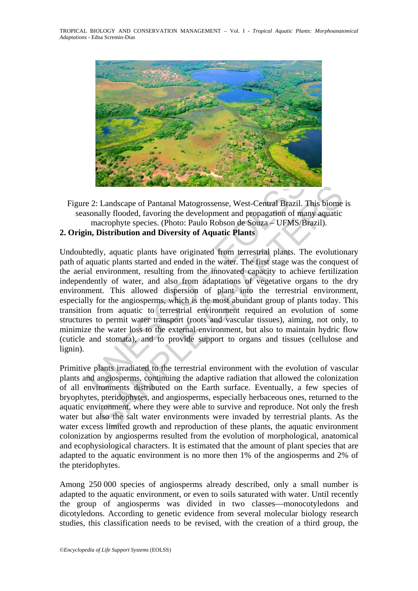TROPICAL BIOLOGY AND CONSERVATION MANAGEMENT – Vol. I - *Tropical Aquatic Plants: Morphoanatomical Adaptations* - Edna Scremin-Dias



Figure 2: Landscape of Pantanal Matogrossense, West-Central Brazil. This biome is seasonally flooded, favoring the development and propagation of many aquatic macrophyte species. (Photo: Paulo Robson de Souza – UFMS/Brazil). **2. Origin, Distribution and Diversity of Aquatic Plants** 

# e 2: Landscape of Pantanal Matogrossense, West-Central Brazil. 1<br>sonally flooded, favoring the development and propagation of ma<br>macrophyte species. (Photo: Paulo Robson de Souza – UFMS/B<br>in, Distribution and Diversity of Landscape of Pantanal Matogrossense, West-Central Brazil. This biome<br>ally flooded, favoring the development and propagation of many aquatic<br>acrophyte species. (Photo: Paulo Robson de Souza – UFMS/Brazil).<br>Distribution and Undoubtedly, aquatic plants have originated from terrestrial plants. The evolutionary path of aquatic plants started and ended in the water. The first stage was the conquest of the aerial environment, resulting from the innovated capacity to achieve fertilization independently of water, and also from adaptations of vegetative organs to the dry environment. This allowed dispersion of plant into the terrestrial environment, especially for the angiosperms, which is the most abundant group of plants today. This transition from aquatic to terrestrial environment required an evolution of some structures to permit water transport (roots and vascular tissues), aiming, not only, to

minimize the water loss to the external environment, but also to maintain hydric flow (cuticle and stomata), and to provide support to organs and tissues (cellulose and lignin).

Primitive plants irradiated to the terrestrial environment with the evolution of vascular plants and angiosperms, continuing the adaptive radiation that allowed the colonization of all environments distributed on the Earth surface. Eventually, a few species of bryophytes, pteridophytes, and angiosperms, especially herbaceous ones, returned to the aquatic environment, where they were able to survive and reproduce. Not only the fresh water but also the salt water environments were invaded by terrestrial plants. As the water excess limited growth and reproduction of these plants, the aquatic environment colonization by angiosperms resulted from the evolution of morphological, anatomical and ecophysiological characters. It is estimated that the amount of plant species that are adapted to the aquatic environment is no more then 1% of the angiosperms and 2% of the pteridophytes.

Among 250 000 species of angiosperms already described, only a small number is adapted to the aquatic environment, or even to soils saturated with water. Until recently the group of angiosperms was divided in two classes—monocotyledons and dicotyledons. According to genetic evidence from several molecular biology research studies, this classification needs to be revised, with the creation of a third group, the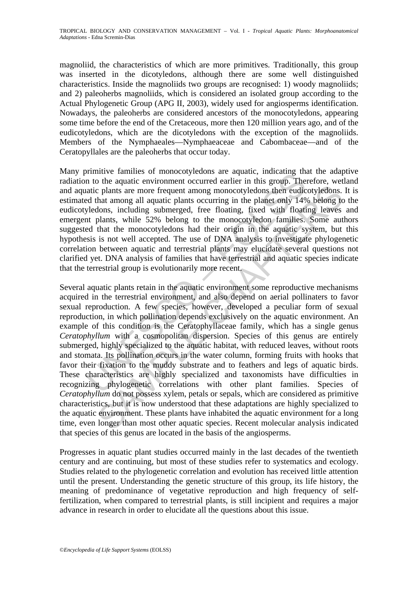magnoliid, the characteristics of which are more primitives. Traditionally, this group was inserted in the dicotyledons, although there are some well distinguished characteristics. Inside the magnoliids two groups are recognised: 1) woody magnoliids; and 2) paleoherbs magnoliids, which is considered an isolated group according to the Actual Phylogenetic Group (APG II, 2003), widely used for angiosperms identification. Nowadays, the paleoherbs are considered ancestors of the monocotyledons, appearing some time before the end of the Cretaceous, more then 120 million years ago, and of the eudicotyledons, which are the dicotyledons with the exception of the magnoliids. Members of the Nymphaeales—Nymphaeaceae and Cabombaceae—and of the Ceratopyllales are the paleoherbs that occur today.

Many primitive families of monocotyledons are aquatic, indicating that the adaptive radiation to the aquatic environment occurred earlier in this group. Therefore, wetland and aquatic plants are more frequent among monocotyledons then eudicotyledons. It is estimated that among all aquatic plants occurring in the planet only 14% belong to the eudicotyledons, including submerged, free floating, fixed with floating leaves and emergent plants, while 52% belong to the monocotyledon families. Some authors suggested that the monocotyledons had their origin in the aquatic system, but this hypothesis is not well accepted. The use of DNA analysis to investigate phylogenetic correlation between aquatic and terrestrial plants may elucidate several questions not clarified yet. DNA analysis of families that have terrestrial and aquatic species indicate that the terrestrial group is evolutionarily more recent.

minute tannies or monocotylectoms are aquatic, muctang una<br>n to the aquatic environment occurred earlier in this group. The<br>n to the aquatic environment occurred earlier in this group. The<br>attic plants are more frequent am replants are more frequent among monocotyledons then eudicotyledons.<br>
In plants are more frequent among monocotyledons then eudicotyledons, hat among all aquatic plants occurring in the planet only 14% belong to<br>
plants, Several aquatic plants retain in the aquatic environment some reproductive mechanisms acquired in the terrestrial environment, and also depend on aerial pollinaters to favor sexual reproduction. A few species, however, developed a peculiar form of sexual reproduction, in which pollination depends exclusively on the aquatic environment. An example of this condition is the Ceratophyllaceae family, which has a single genus *Ceratophyllum* with a cosmopolitan dispersion. Species of this genus are entirely submerged, highly specialized to the aquatic habitat, with reduced leaves, without roots and stomata. Its pollination occurs in the water column, forming fruits with hooks that favor their fixation to the muddy substrate and to feathers and legs of aquatic birds. These characteristics are highly specialized and taxonomists have difficulties in recognizing phylogenetic correlations with other plant families. Species of *Ceratophyllum* do not possess xylem, petals or sepals, which are considered as primitive characteristics, but it is now understood that these adaptations are highly specialized to the aquatic environment. These plants have inhabited the aquatic environment for a long time, even longer than most other aquatic species. Recent molecular analysis indicated that species of this genus are located in the basis of the angiosperms.

Progresses in aquatic plant studies occurred mainly in the last decades of the twentieth century and are continuing, but most of these studies refer to systematics and ecology. Studies related to the phylogenetic correlation and evolution has received little attention until the present. Understanding the genetic structure of this group, its life history, the meaning of predominance of vegetative reproduction and high frequency of selffertilization, when compared to terrestrial plants, is still incipient and requires a major advance in research in order to elucidate all the questions about this issue.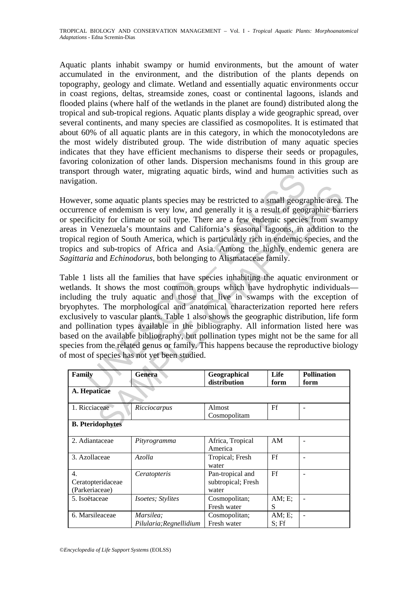Aquatic plants inhabit swampy or humid environments, but the amount of water accumulated in the environment, and the distribution of the plants depends on topography, geology and climate. Wetland and essentially aquatic environments occur in coast regions, deltas, streamside zones, coast or continental lagoons, islands and flooded plains (where half of the wetlands in the planet are found) distributed along the tropical and sub-tropical regions. Aquatic plants display a wide geographic spread, over several continents, and many species are classified as cosmopolites. It is estimated that about 60% of all aquatic plants are in this category, in which the monocotyledons are the most widely distributed group. The wide distribution of many aquatic species indicates that they have efficient mechanisms to disperse their seeds or propagules, favoring colonization of other lands. Dispersion mechanisms found in this group are transport through water, migrating aquatic birds, wind and human activities such as navigation.

However, some aquatic plants species may be restricted to a small geographic area. The occurrence of endemism is very low, and generally it is a result of geographic barriers or specificity for climate or soil type. There are a few endemic species from swampy areas in Venezuela's mountains and California's seasonal lagoons, in addition to the tropical region of South America, which is particularly rich in endemic species, and the tropics and sub-tropics of Africa and Asia. Among the highly endemic genera are *Sagittaria* and *Echinodorus*, both belonging to Alismataceae family.

It unough water, ingraining aquatic ontis, while and numian act<br>on.<br>Fig. 2001. The aquatic plants species may be restricted to a small geograte<br>of endemism is very low, and generally it is a result of geogratic<br>iversue of some aquatic plants species may be restricted to a small geographic area,<br>of endemism is very low, and generally it is a result of geographic bare<br>ity for climate or soil type. There are a few endemic species from swa<br>enez Table 1 lists all the families that have species inhabiting the aquatic environment or wetlands. It shows the most common groups which have hydrophytic individuals including the truly aquatic and those that live in swamps with the exception of bryophytes. The morphological and anatomical characterization reported here refers exclusively to vascular plants. Table 1 also shows the geographic distribution, life form and pollination types available in the bibliography. All information listed here was based on the available bibliography, but pollination types might not be the same for all species from the related genus or family. This happens because the reproductive biology of most of species has not yet been studied.

| Family                                    | Genera                               | Geographical<br>distribution                    | Life<br>form     | <b>Pollination</b><br>form |  |  |
|-------------------------------------------|--------------------------------------|-------------------------------------------------|------------------|----------------------------|--|--|
| A. Hepaticae                              |                                      |                                                 |                  |                            |  |  |
| 1. Ricciaceae                             | Ricciocarpus                         | Almost<br>Cosmopolitam                          | Ff               |                            |  |  |
| <b>B.</b> Pteridophytes                   |                                      |                                                 |                  |                            |  |  |
| 2. Adiantaceae                            | Pityrogramma                         | Africa, Tropical<br>America                     | AM               |                            |  |  |
| 3. Azollaceae                             | Azolla                               | Tropical; Fresh<br>water                        | Ff               |                            |  |  |
| 4.<br>Ceratopteridaceae<br>(Parkeriaceae) | Ceratopteris                         | Pan-tropical and<br>subtropical; Fresh<br>water | Ff               |                            |  |  |
| 5. Isoëtaceae                             | <i>Isoetes; Stylites</i>             | Cosmopolitan;<br>Fresh water                    | AM; E<br>S       | ۰                          |  |  |
| 6. Marsileaceae                           | Marsilea:<br>Pilularia; Regnellidium | Cosmopolitan;<br>Fresh water                    | AM; E<br>$S:$ Ff |                            |  |  |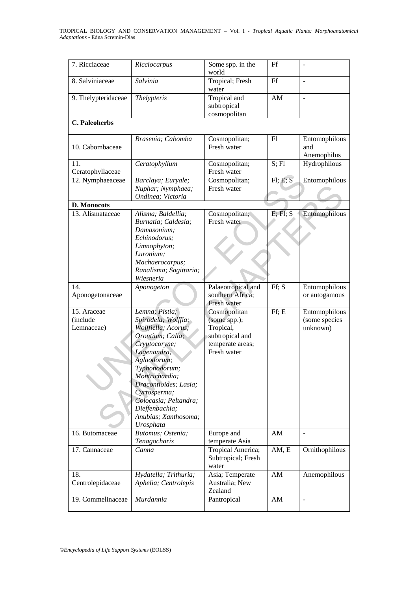| 7. Ricciaceae                         | Ricciocarpus                                                                                                                                                                                                                | Some spp. in the<br>world                          | Ff               |                                            |
|---------------------------------------|-----------------------------------------------------------------------------------------------------------------------------------------------------------------------------------------------------------------------------|----------------------------------------------------|------------------|--------------------------------------------|
| 8. Salviniaceae                       | Salvinia                                                                                                                                                                                                                    | Tropical; Fresh<br>water                           | Ff               |                                            |
| 9. Thelypteridaceae                   | <b>Thelypteris</b>                                                                                                                                                                                                          | Tropical and<br>subtropical<br>cosmopolitan        | AM               |                                            |
| <b>C.</b> Paleoherbs                  |                                                                                                                                                                                                                             |                                                    |                  |                                            |
| 10. Cabombaceae                       | Brasenia; Cabomba                                                                                                                                                                                                           | Cosmopolitan;<br>Fresh water                       | F1               | Entomophilous<br>and<br>Anemophilus        |
| 11.<br>Ceratophyllaceae               | Ceratophyllum                                                                                                                                                                                                               | Cosmopolitan;<br>Fresh water                       | S; Fl            | Hydrophilous                               |
| 12. Nymphaeaceae                      | Barclaya; Euryale;<br>Nuphar; Nymphaea;<br>Ondinea; Victoria                                                                                                                                                                | Cosmopolitan;<br>Fresh water                       | F1; E; S         | Entomophilous                              |
| D. Monocots                           |                                                                                                                                                                                                                             |                                                    |                  |                                            |
| 13. Alismataceae                      | Alisma; Baldellia;<br>Burnatia; Caldesia;<br>Damasonium;<br>Echinodorus:<br>Limnophyton;<br>Luronium;<br>Machaerocarpus;<br>Ranalisma; Sagittaria;<br>Wiesneria                                                             | Cosmopolitan;<br>Fresh water                       | $E$ ; $Fl$ ; $S$ | Entomophilous                              |
| 14.                                   | Aponogeton                                                                                                                                                                                                                  | Palaeotropical and                                 | Ff; S            | Entomophilous                              |
| Aponogetonaceae                       |                                                                                                                                                                                                                             | southern Africa;<br>Fresh water                    |                  | or autogamous                              |
| 15. Araceae<br>(include<br>Lemnaceae) | Lemna; Pistia;<br>Spirodela; Wolffia;<br>Wolffiella; Acorus;                                                                                                                                                                | Cosmopolitan<br>(some spp.);<br>Tropical,          | Ff; E            | Entomophilous<br>(some species<br>unknown) |
|                                       | Orontium; Calla;<br>Cryptocoryne;<br>Lagenandra;<br>Aglaodorum;<br>Typhonodorum;<br>Montrichardia;<br>Dracontioides; Lasia;<br>Cyrtosperma;<br>Colocasia; Peltandra;<br>Dieffenbachia;<br>Anubias; Xanthosoma;<br>Urosphata | subtropical and<br>temperate areas;<br>Fresh water |                  |                                            |
| 16. Butomaceae                        | Butomus; Ostenia;<br>Tenagocharis                                                                                                                                                                                           | Europe and<br>temperate Asia                       | AM               | $\overline{a}$                             |
| 17. Cannaceae                         | Canna                                                                                                                                                                                                                       | Tropical America;<br>Subtropical; Fresh<br>water   | AM, E            | Ornithophilous                             |
| 18.<br>Centrolepidaceae               | Hydatella; Trithuria;<br>Aphelia; Centrolepis                                                                                                                                                                               | Asia; Temperate<br>Australia; New<br>Zealand       | AM               | Anemophilous                               |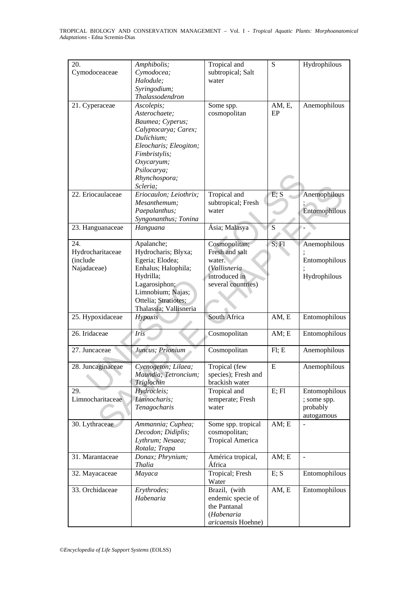| 20.               | Amphibolis;            | Tropical and            | S         | Hydrophilous   |
|-------------------|------------------------|-------------------------|-----------|----------------|
| Cymodoceaceae     | Cymodocea;             | subtropical; Salt       |           |                |
|                   | Halodule;              | water                   |           |                |
|                   | Syringodium;           |                         |           |                |
|                   | Thalassodendron        |                         |           |                |
|                   |                        |                         |           |                |
| 21. Cyperaceae    | Ascolepis;             | Some spp.               | AM, E,    | Anemophilous   |
|                   | Asterochaete;          | cosmopolitan            | EP        |                |
|                   | Baumea; Cyperus;       |                         |           |                |
|                   | Calyptocarya; Carex;   |                         |           |                |
|                   | Dulichium;             |                         |           |                |
|                   | Eleocharis; Eleogiton; |                         |           |                |
|                   | Fimbristylis;          |                         |           |                |
|                   | Oxycaryum;             |                         |           |                |
|                   |                        |                         |           |                |
|                   | Psilocarya;            |                         |           |                |
|                   | Rhynchospora;          |                         |           |                |
|                   | Scleria;               |                         |           |                |
| 22. Eriocaulaceae | Eriocaulon; Leiothrix; | Tropical and            | E; S      | Anemophilous   |
|                   | Mesanthemum;           | subtropical; Fresh      |           |                |
|                   | Paepalanthus;          | water                   |           | Entomophilous  |
|                   | Syngonanthus; Tonina   |                         |           |                |
| 23. Hanguanaceae  | Hanguana               | Ásia; Malasya           | ${\bf S}$ |                |
|                   |                        |                         |           |                |
| 24.               | Apalanche;             |                         | S; Fl     |                |
|                   |                        | Cosmopolitan;           |           | Anemophilous   |
| Hydrocharitaceae  | Hydrocharis; Blyxa;    | Fresh and salt          |           |                |
| (include          | Egeria; Elodea;        | water.                  |           | Entomophilous  |
| Najadaceae)       | Enhalus; Halophila;    | (Vallisneria-           |           |                |
|                   | Hydrilla;              | introduced in           |           | Hydrophilous   |
|                   | Lagarosiphon;          | several countries)      |           |                |
|                   | Limnobium; Najas;      |                         |           |                |
|                   | Ottelia; Stratiotes;   |                         |           |                |
|                   | Thalassia; Vallisneria |                         |           |                |
|                   |                        |                         |           |                |
| 25. Hypoxidaceae  | Hypoxis                | South Africa            | AM, E     | Entomophilous  |
|                   |                        |                         |           |                |
| 26. Iridaceae     | Iris                   | Cosmopolitan            | AM; E     | Entomophilous  |
|                   |                        |                         |           |                |
| 27. Juncaceae     | Juncus; Prionium       | Cosmopolitan            | F1; E     | Anemophilous   |
|                   |                        |                         |           |                |
| 28. Juncaginaceae | Cycnogeton; Lilaea;    | Tropical (few           | E         | Anemophilous   |
|                   | Maundia; Tetroncium;   | species); Fresh and     |           |                |
|                   | Triglochin             | brackish water          |           |                |
|                   |                        |                         |           |                |
| 29.               | Hydrocleis;            | Tropical and            | E; Fl     | Entomophilous  |
| Limnocharitaceae  | Limnocharis;           | temperate; Fresh        |           | ; some spp.    |
|                   | Tenagocharis           | water                   |           | probably       |
|                   |                        |                         |           | autogamous     |
| 30. Lythraceae    | Ammannia; Cuphea;      | Some spp. tropical      | AM; E     |                |
|                   | Decodon; Didiplis;     | cosmopolitan;           |           |                |
|                   | Lythrum; Nesaea;       | <b>Tropical America</b> |           |                |
|                   | Rotala; Trapa          |                         |           |                |
|                   |                        |                         |           |                |
| 31. Marantaceae   | Donax; Phrynium;       | América tropical,       | AM; E     | $\overline{a}$ |
|                   | <b>Thalia</b>          | África                  |           |                |
| 32. Mayacaceae    | Mayaca                 | Tropical; Fresh         | E; S      | Entomophilous  |
|                   |                        | Water                   |           |                |
| 33. Orchidaceae   | Erythrodes;            | Brazil, (with           | AM, E     | Entomophilous  |
|                   | Habenaria              | endemic specie of       |           |                |
|                   |                        | the Pantanal            |           |                |
|                   |                        | (Habenaria              |           |                |
|                   |                        |                         |           |                |
|                   |                        | aricaensis Hoehne)      |           |                |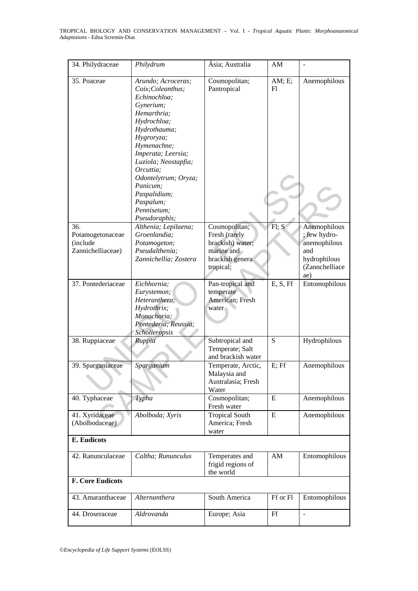| 34. Philydraceae                                         | Philydrum                                                                                                                                                                                                                                                                                                   | Ásia; Australia                                                                                  | AM           |                                                                                              |
|----------------------------------------------------------|-------------------------------------------------------------------------------------------------------------------------------------------------------------------------------------------------------------------------------------------------------------------------------------------------------------|--------------------------------------------------------------------------------------------------|--------------|----------------------------------------------------------------------------------------------|
| 35. Poaceae                                              | Arundo; Acroceras;<br>Coix; Coleanthus;<br>Echinochloa:<br>Gynerium;<br>Hemarthria;<br>Hydrochloa;<br>Hydrothauma;<br>Hygroryza;<br>Hymenachne;<br>Imperata; Leersia;<br>Luziola; Neostapfia;<br>Orcuttia;<br>Odontelytrum; Oryza;<br>Panicum;<br>Paspalidium;<br>Paspalum;<br>Pennisetum;<br>Pseudoraphis; | Cosmopolitan;<br>Pantropical                                                                     | AM; E;<br>Fl | Anemophilous                                                                                 |
| 36.<br>Potamogetonaceae<br>(include<br>Zannichelliaceae) | Althenia; Lepilaena;<br>Groenlandia;<br>Potamogeton;<br>Pseudalthenia;<br>Zannichellia; Zostera                                                                                                                                                                                                             | Cosmopolitan;<br>Fresh (rarely<br>brackish) water;<br>marine and<br>brackish genera<br>tropical; | FI; S        | Anemophilous<br>; few hydro-<br>anemophilous<br>and<br>hydrophilous<br>(Zannchelliace<br>ae) |
| 37. Pontederiaceae                                       | Eichhornia;<br>Eurystemon;<br>Heteranthera;<br>Hydrothrix;<br>Monochoria;<br>Pontederia; Reussia;<br>Scholleropsis                                                                                                                                                                                          | Pan-tropical and<br>temperate<br>American; Fresh<br>water                                        | E, S, Ff     | Entomophilous                                                                                |
| 38. Ruppiaceae                                           | Ruppia                                                                                                                                                                                                                                                                                                      | Subtropical and<br>Temperate; Salt<br>and brackish water                                         | S            | Hydrophilous                                                                                 |
| 39. Sparganiaceae                                        | Sparganium                                                                                                                                                                                                                                                                                                  | Temperate, Arctic,<br>Malaysia and<br>Australasia; Fresh<br>Water                                | E; Ff        | Anemophilous                                                                                 |
| 40. Typhaceae                                            | Typha                                                                                                                                                                                                                                                                                                       | Cosmopolitan;<br>Fresh water                                                                     | E            | Anemophilous                                                                                 |
| 41. Xyridaceae<br>(Abolbodaceae)                         | Abolboda; Xyris                                                                                                                                                                                                                                                                                             | <b>Tropical South</b><br>America; Fresh<br>water                                                 | E            | Anemophilous                                                                                 |
| <b>E.</b> Eudicots                                       |                                                                                                                                                                                                                                                                                                             |                                                                                                  |              |                                                                                              |
| 42. Ranunculaceae                                        | Caltha; Rununculus                                                                                                                                                                                                                                                                                          | Temperates and<br>frigid regions of<br>the world                                                 | AM           | Entomophilous                                                                                |
| <b>F. Core Eudicots</b>                                  |                                                                                                                                                                                                                                                                                                             |                                                                                                  |              |                                                                                              |
| 43. Amaranthaceae                                        | Alternanthera                                                                                                                                                                                                                                                                                               | South America                                                                                    | Ff or Fl     | Entomophilous                                                                                |
| 44. Droseraceae                                          | Aldrovanda                                                                                                                                                                                                                                                                                                  | Europe; Asia                                                                                     | Ff           | $\frac{1}{2}$                                                                                |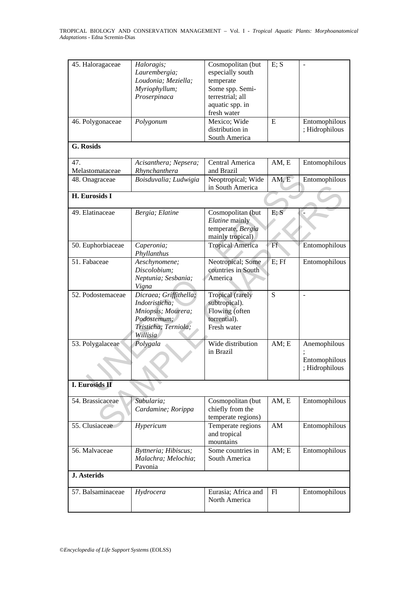| 45. Haloragaceae       | Haloragis;<br>Laurembergia;<br>Loudonia; Meziella;<br>Myriophyllum;<br>Proserpinaca                               | Cosmopolitan (but<br>especially south<br>temperate<br>Some spp. Semi-<br>terrestrial; all<br>aquatic spp. in<br>fresh water | E; S  |                                                 |
|------------------------|-------------------------------------------------------------------------------------------------------------------|-----------------------------------------------------------------------------------------------------------------------------|-------|-------------------------------------------------|
| 46. Polygonaceae       | Polygonum                                                                                                         | Mexico; Wide<br>distribution in<br>South America                                                                            | E     | Entomophilous<br>; Hidrophilous                 |
| <b>G.</b> Rosids       |                                                                                                                   |                                                                                                                             |       |                                                 |
| 47.<br>Melastomataceae | Acisanthera; Nepsera;<br>Rhynchanthera                                                                            | Central America<br>and Brazil                                                                                               | AM, E | Entomophilous                                   |
| 48. Onagraceae         | Boisduvalia; Ludwigia                                                                                             | Neoptropical; Wide<br>in South America                                                                                      | AM, E | Entomophilous                                   |
| H. Eurosids I          |                                                                                                                   |                                                                                                                             |       |                                                 |
| 49. Elatinaceae        | Bergia; Elatine                                                                                                   | Cosmopolitan (but<br>Elatine mainly<br>temperate, Bergia<br>mainly tropical)                                                | E; S  |                                                 |
| 50. Euphorbiaceae      | Caperonia;<br>Phyllanthus                                                                                         | <b>Tropical America</b>                                                                                                     | Ff    | Entomophilous                                   |
| 51. Fabaceae           | Aeschynomene;<br>Discolobium;<br>Neptunia; Sesbania;<br>Vigna                                                     | Neotropical; Some<br>countries in South<br>America                                                                          | E; Ff | Entomophilous                                   |
| 52. Podostemaceae      | Dicraea; Griffithella;<br>Indotristicha;<br>Mniopsis; Mourera;<br>Podostemum;<br>Tristicha; Terniola;<br>Willisia | <b>Tropical</b> (rarely<br>subtropical).<br>Flowing (often<br>torrential).<br>Fresh water                                   | S     | $\bar{\phantom{a}}$                             |
| 53. Polygalaceae       | Polygala                                                                                                          | Wide distribution<br>in Brazil                                                                                              | AM; E | Anemophilous<br>Entomophilous<br>; Hidrophilous |
| <b>I. Eurosids II</b>  |                                                                                                                   |                                                                                                                             |       |                                                 |
| 54. Brassicaceae       | Subularia;<br>Cardamine; Rorippa                                                                                  | Cosmopolitan (but<br>chiefly from the<br>temperate regions)                                                                 | AM, E | Entomophilous                                   |
| 55. Clusiaceae         | Hypericum                                                                                                         | Temperate regions<br>and tropical<br>mountains                                                                              | AM    | Entomophilous                                   |
| 56. Malvaceae          | Byttneria; Hibiscus;<br>Malachra; Melochia;<br>Pavonia                                                            | Some countries in<br>South America                                                                                          | AM; E | Entomophilous                                   |
| <b>J.</b> Asterids     |                                                                                                                   |                                                                                                                             |       |                                                 |
| 57. Balsaminaceae      | Hydrocera                                                                                                         | Eurasia; Africa and<br>North America                                                                                        | F1    | Entomophilous                                   |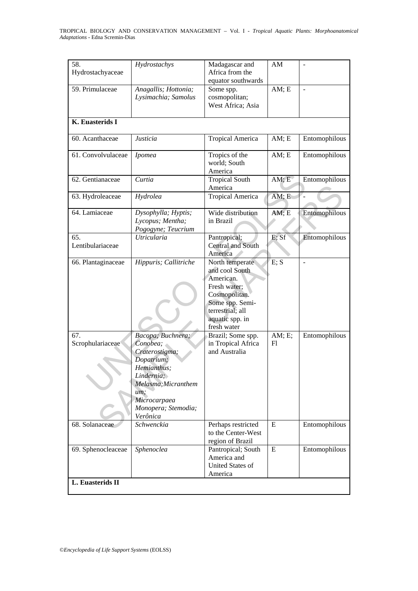| 58.<br>Hydrostachyaceae | Hydrostachys                                                                                                                                                                | Madagascar and<br>Africa from the                                                                                                                        | AM           |                |
|-------------------------|-----------------------------------------------------------------------------------------------------------------------------------------------------------------------------|----------------------------------------------------------------------------------------------------------------------------------------------------------|--------------|----------------|
|                         |                                                                                                                                                                             | equator southwards                                                                                                                                       |              |                |
| 59. Primulaceae         | Anagallis; Hottonia;<br>Lysimachia; Samolus                                                                                                                                 | Some spp.<br>cosmopolitan;<br>West Africa; Asia                                                                                                          | AM; E        |                |
| K. Euasterids I         |                                                                                                                                                                             |                                                                                                                                                          |              |                |
| 60. Acanthaceae         | Justicia                                                                                                                                                                    | <b>Tropical America</b>                                                                                                                                  | AM; E        | Entomophilous  |
| 61. Convolvulaceae      | Ipomea                                                                                                                                                                      | Tropics of the<br>world; South<br>America                                                                                                                | AM; E        | Entomophilous  |
| 62. Gentianaceae        | Curtia                                                                                                                                                                      | <b>Tropical South</b><br>America                                                                                                                         | AM; E        | Entomophilous  |
| 63. Hydroleaceae        | Hydrolea                                                                                                                                                                    | <b>Tropical America</b>                                                                                                                                  | AM; E        |                |
| 64. Lamiaceae           | Dysophylla; Hyptis;<br>Lycopus; Mentha;<br>Pogogyne; Teucrium                                                                                                               | Wide distribution<br>in Brazil                                                                                                                           | AM; E        | Entomophilous  |
| 65.<br>Lentibulariaceae | <b>Utricularia</b>                                                                                                                                                          | Pantropical;<br><b>Central and South</b><br>America                                                                                                      | E; Sf        | Entomophilous  |
| 66. Plantaginaceae      | Hippuris; Callitriche                                                                                                                                                       | North temperate<br>and cool South<br>American.<br>Fresh water;<br>Cosmopolitan.<br>Some spp. Semi-<br>terrestrial; all<br>aquatic spp. in<br>fresh water | E; S         | $\overline{a}$ |
| 67.<br>Scrophulariaceae | Bacopa; Buchnera;<br>Conobea;<br>Craterostigma;<br>Dopatrium;<br>Hemianthus;<br>Lindernia;<br>Melasma; Micranthem<br>um;<br>Microcarpaea<br>Monopera; Stemodia;<br>Verônica | Brazil; Some spp.<br>in Tropical Africa<br>and Australia                                                                                                 | AM; E;<br>F1 | Entomophilous  |
| 68. Solanaceae          | Schwenckia                                                                                                                                                                  | Perhaps restricted<br>to the Center-West<br>region of Brazil                                                                                             | E            | Entomophilous  |
| 69. Sphenocleaceae      | Sphenoclea                                                                                                                                                                  | Pantropical; South<br>America and<br><b>United States of</b><br>America                                                                                  | E            | Entomophilous  |
| L. Euasterids II        |                                                                                                                                                                             |                                                                                                                                                          |              |                |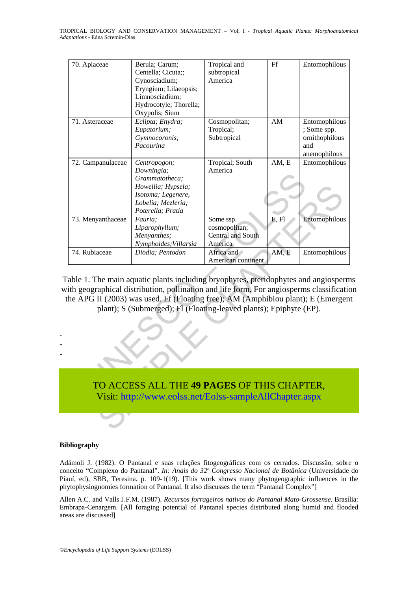| 70. Apiaceae      | Berula; Carum;                                                                            | Tropical and       | Ff    | Entomophilous  |
|-------------------|-------------------------------------------------------------------------------------------|--------------------|-------|----------------|
|                   | Centella; Cicuta;;                                                                        | subtropical        |       |                |
|                   | Cynosciadium;                                                                             | America            |       |                |
|                   | Eryngium; Lilaeopsis;                                                                     |                    |       |                |
|                   | Limnosciadium;                                                                            |                    |       |                |
|                   | Hydrocotyle; Thorella;                                                                    |                    |       |                |
|                   | Oxypolis; Sium                                                                            |                    |       |                |
| 71. Asteraceae    | Eclipta; Enydra;                                                                          | Cosmopolitan;      | AM    | Entomophilous  |
|                   | Eupatorium;                                                                               | Tropical;          |       | ; Some spp.    |
|                   | Gymnocoronis;                                                                             | Subtropical        |       | ornithophilous |
|                   | Pacourina                                                                                 |                    |       | and            |
|                   |                                                                                           |                    |       | anemophilous   |
| 72. Campanulaceae | Centropogon;                                                                              | Tropical; South    | AM, E | Entomophilous  |
|                   | Downingia;                                                                                | America            |       |                |
|                   | Grammatotheca;                                                                            |                    |       |                |
|                   | Howellia; Hypsela;                                                                        |                    |       |                |
|                   | Isotoma; Legenere,                                                                        |                    |       |                |
|                   | Lobelia; Mezleria;                                                                        |                    |       |                |
|                   | Poterella; Pratia                                                                         |                    |       |                |
| 73. Menyanthaceae | Fauria;                                                                                   | Some ssp.          | E, Fl | Entomophilous  |
|                   | Liparophyllum;                                                                            | cosmopolitan;      |       |                |
|                   | Menyanthes;                                                                               | Central and South  |       |                |
|                   | Nymphoides; Villarsia                                                                     | America            |       |                |
| 74. Rubiaceae     | Diodia; Pentodon                                                                          | Africa and         | AM, E | Entomophilous  |
|                   |                                                                                           | American continent |       |                |
|                   |                                                                                           |                    |       |                |
|                   | Table 1. The main aquatic plants including bryophytes, pteridophytes and angiosperm       |                    |       |                |
|                   | vith geographical distribution, pollination and life form. For angiosperms classification |                    |       |                |
|                   | the APG II (2003) was used. Ff (Floating free); AM (Amphibiou plant); E (Emergen          |                    |       |                |
|                   | plant); S (Submerged); Fl (Floating-leaved plants); Epiphyte (EP).                        |                    |       |                |
|                   |                                                                                           |                    |       |                |
|                   |                                                                                           |                    |       |                |
|                   |                                                                                           |                    |       |                |
|                   |                                                                                           |                    |       |                |
|                   |                                                                                           |                    |       |                |
|                   |                                                                                           |                    |       |                |
|                   |                                                                                           |                    |       |                |
|                   |                                                                                           |                    |       |                |
|                   | TO ACCESS ALL THE 49 PAGES OF THIS CHAPTER,                                               |                    |       |                |
|                   |                                                                                           |                    |       |                |
|                   | Visit: http://www.eolss.net/Eolss-sampleAllChapter.aspx                                   |                    |       |                |
|                   |                                                                                           |                    |       |                |
|                   |                                                                                           |                    |       |                |
|                   |                                                                                           |                    |       |                |

#### **Bibliography**

- -

Adámoli J. (1982). O Pantanal e suas relações fitogeográficas com os cerrados. Discussão, sobre o conceito "Complexo do Pantanal". *In: Anais do 32ª Congresso Nacional de Botânica* (Universidade do Piauí, ed), SBB, Teresina. p. 109-1(19). [This work shows many phytogeographic influences in the phytophysiognomies formation of Pantanal. It also discusses the term "Pantanal Complex"]

Allen A.C. and Valls J.F.M. (1987). *Recursos forrageiros nativos do Pantanal Mato-Grossense*. Brasília: Embrapa-Cenargem. [All foraging potential of Pantanal species distributed along humid and flooded areas are discussed]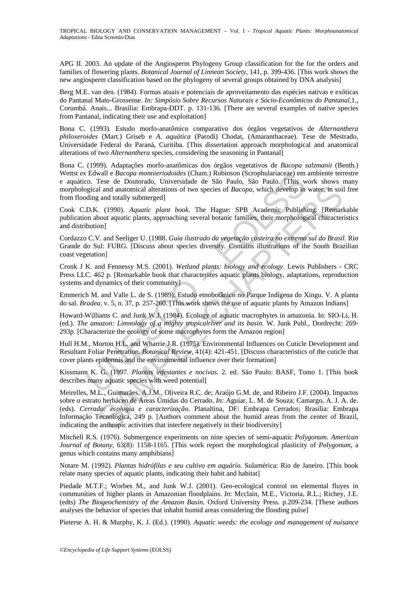APG II. 2003. An update of the Angiosperm Phylogeny Group classification for the for the orders and families of flowering plants. *Botanical Journal of Linnean Society,* 141, p. 399-436. [This work shows the new angiosperm classification based on the phylogeny of several groups obtained by DNA analysis]

Berg M.E. van den. (1984). Formas atuais e potenciais de aproveitamento das espécies nativas e exóticas do Pantanal Mato-Grossense. *In: Simpósio Sobre Recursos Naturais e Sócio-Econômicos do Pantanal,*1., Corumbá. Anais... Brasília: Embrapa-DDT. p. 131-136. [There are several examples of native species from Pantanal, indicating their use and exploitation]

Bona C. (1993). Estudo morfo-anatômico comparativo dos órgãos vegetativos de *Alternanthera philoxeroides* (Mart.) Griseb e *A. aquática* (Parodi) Chodat, (Amaranthaceae). Tese de Mestrado, Universidade Federal do Paraná, Curitiba. [This dissertation approach morphological and anatomical alterations of two *Alternanthera* species, considering the seasoning in Pantanal]

Edwall e *Bacopa momieriodoides* (Cham.) Robinson (Scrophularaceae) em<br>
2. Co. Tese de Doutorado, Universidade de São Paulo, São Paulo, São Paulo<br>
2. Tese de Doutorado, Universidade de São Paulo, São Paulo<br>
2. Co. Tese de Bona C. (1999). Adaptações morfo-anatômicas dos órgãos vegetativos de *Bacopa salzmanii* (Benth.) Wettst *ex* Edwall e *Bacopa monnieriodoides* (Cham.) Robinson (Scrophulariaceae) em ambiente terrestre e aquático. Tese de Doutorado, Universidade de São Paulo, São Paulo. [This work shows many morphological and anatomical alterations of two species of *Bacopa*, which develop in water, in soil free from flooding and totally submerged]

Cook C.D.K. (1990). *Aquatic plant book*. The Hague: SPB Academic Publishing. [Remarkable publication about aquatic plants, approaching several botanic families, their morphological characteristics and distribution]

Cordazzo C.V. and Seeliger U. (1988. *Guia ilustrado da vegetação costeira no extremo sul do Brasil.* Rio Grande do Sul: FURG. [Discuss about species diversity. Contains illustrations of the South Brazilian coast vegetation]

Cronk J K. and Fennessy M.S. (2001). *Wetland plants: biology and ecology*. Lewis Publishers - CRC Press LLC. 462 p. [Remarkable book that characterizes aquatic plants biology, adaptations, reproduction systems and dynamics of their community]

Emmerich M. and Valle L. de S. (1989). Estudo etnobotânico no Parque Indígena do Xingu. V. A planta do sal. *Bradea*, v. 5, n. 37, p. 257-260. [This work shows the use of aquatic plants by Amazon Indians]

Howard-Williams C. and Junk W.J. (1984). Ecology of aquatic macrophytes in amazonia. In: SIO-Li, H. (ed.). *The amazon: Limnology of a mighty tropicalriver and its basin.* W. Junk Publ., Dordrecht: 269- 293p. [Characterize the ecology of some macrophytes form the Amazon region]

Hull H.M., Morton H.L. and Wharrie J.R. (1975). Environmental Influences on Cuticle Development and Resultant Foliar Penetration. *Botanical Review*, 41(4): 421-451. [Discuss characteristics of the cuticle that cover plants epidermis and the environmental influence over their formation]

Kissmann K. G. (1997. *Plantas infestantes e nocivas.* 2. ed. São Paulo: BASF, Tomo 1. [This book describes many aquatic species with weed potential]

and anatomical alterations of two species of *Bacopa*, which develop in water, in soil and anatomical alterations of two species of *Bacopa*, which develop in water, in soil and totally submerged]<br>
... (1990). *Aquatic pl* Meirelles, M.L., Guimarães, A.J.M., Oliveira R.C. de; Araújo G.M. de, and Ribeiro J.F. (2004). Impactos sobre o estrato herbáceo de Áreas Úmidas do Cerrado. *In:* Aguiar, L. M. de Souza; Camargo, A. J. A. de. (eds). *Cerrado: ecologia e caracterização*. Planaltina, DF: Embrapa Cerrados; Brasília: Embrapa Informação Tecnológica, 249 p. [Authors comment about the humid areas from the center of Brazil, indicating the anthropic activities that interfere negatively in their biodiversity]

Mitchell R.S. (1976). Submergence experiments on nine species of semi-aquatic *Polygonum. American Journal of Botany*, 63(8): 1158-1165. [This work report the morphological plasticity of *Polygonum*, a genus which contains many amphibians]

Notare M. (1992). *Plantas hidrófilas e seu cultivo em aquário.* Sulamérica: Rio de Janeiro. [This book relate many species of aquatic plants, indicating their habit and habitat]

Piedade M.T.F.; Worbes M., and Junk W.J. (2001). Geo-ecological control on elemental fluyes in communities of higher plants in Amazonian floodplains. *In*: Mcclain, M.E., Victoria, R.L.; Richey, J.E. (edts) *The Biogeochemistry of the Amazon Basin.* Oxford University Press. p.209-234. [These authors analyses the behavior of species that inhabit humid areas considering the flooding pulse]

Pieterse A. H. & Murphy, K. J. (Ed.). (1990). *Aquatic weeds: the ecology and management of nuisance*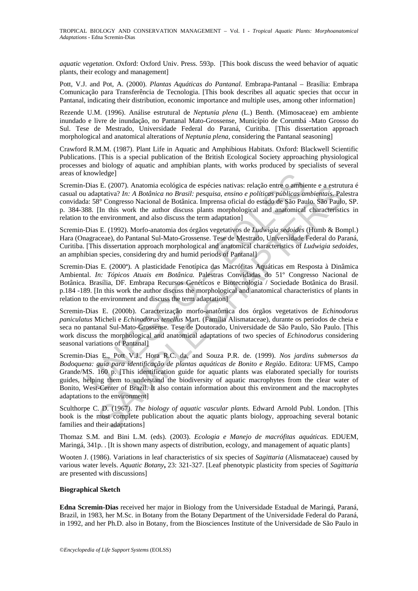*aquatic vegetation*. Oxford: Oxford Univ. Press. 593p. [This book discuss the weed behavior of aquatic plants, their ecology and management]

Pott, V.J. and Pot, A. (2000). *Plantas Aquáticas do Pantanal.* Embrapa-Pantanal – Brasília: Embrapa Comunicação para Transferência de Tecnologia. [This book describes all aquatic species that occur in Pantanal, indicating their distribution, economic importance and multiple uses, among other information]

Rezende U.M. (1996). Análise estrutural de *Neptunia plena* (L.) Benth. (Mimosaceae) em ambiente inundado e livre de inundação, no Pantanal Mato-Grossense, Município de Corumbá -Mato Grosso do Sul. Tese de Mestrado, Universidade Federal do Paraná, Curitiba. [This dissertation approach morphological and anatomical alterations of *Neptunia plena*, considering the Pantanal seasoning]

Crawford R.M.M. (1987). Plant Life in Aquatic and Amphibious Habitats. Oxford: Blackwell Scientific Publications. [This is a special publication of the British Ecological Society approaching physiological processes and biology of aquatic and amphibian plants, with works produced by specialists of several areas of knowledge]

Scremin-Dias E. (2007). Anatomia ecológica de espécies nativas: relação entre o ambiente e a estrutura é casual ou adaptativa? *In: A Botânica no Brasil: pesquisa, ensino e políticas públicas ambientais*. Palestra convidada: 58° Congresso Nacional de Botânica. Imprensa oficial do estado de São Paulo. São Paulo, SP. p. 384-388. [In this work the author discuss plants morphological and anatomical characteristics in relation to the environment, and also discuss the term adaptation]

Scremin-Dias E. (1992). Morfo-anatomia dos órgãos vegetativos de *Ludwigia sedoides* (Humb & Bompl.) Hara (Onagraceae), do Pantanal Sul-Mato-Grossense. Tese de Mestrado, Universidade Federal do Paraná, Curitiba. [This dissertation approach morphological and anatomical characteristics of *Ludwigia sedoides*, an amphibian species, considering dry and humid periods of Pantanal]

Scremin-Dias E. (2000ª). A plasticidade Fenotípica das Macrófitas Aquáticas em Resposta à Dinâmica Ambiental. *In: Tópicos Atuais em Botânica.* Palestras Convidadas do 51º Congresso Nacional de Botânica. Brasília, DF. Embrapa Recursos Genéticos e Biotecnologia / Sociedade Botânica do Brasil. p.184 -189. [In this work the author discuss the morphological and anatomical characteristics of plants in relation to the environment and discuss the term adaptation]

Scremin-Dias E. (2000b). Caracterização morfo-anatômica dos órgãos vegetativos de *Echinodorus paniculatus* Micheli e *Echinodorus tenellus* Mart. (Família Alismataceae), durante os períodos de cheia e seca no pantanal Sul-Mato-Grossense. Tese de Doutorado, Universidade de São Paulo, São Paulo. [This work discuss the morphological and anatomical adaptations of two species of *Echinodorus* considering seasonal variations of Pantanal]

moviedge]<br>
Dias E. (2007). Anatomia ecológica de espécies nativas: relação entre o ambiena adaptativa? *In: A Botânica no Brasil: pesquisa, ensino e políticas públicas an*<br>
at 38° Congresso Nacional de Botânica. Imprensa o E. (2007). Anatomia ecológica de espécies nativas: relação entre o ambiente e a estrutado entre o mediente e a estrutado entre o mediente de espécies nativas: relação entre os medientes. Paramente e a estrutos Samplentais Scremin-Dias E., Pott V.J., Hora R.C. da, and Souza P.R. de. (1999). *Nos jardins submersos da Bodoquena: guia para identificação de plantas aquáticas de Bonito e Região*. Editora: UFMS, Campo Grande/MS. 160 p. [This identification guide for aquatic plants was elaborated specially for tourists guides, helping them to understand the biodiversity of aquatic macrophytes from the clear water of Bonito, West-Center of Brazil. It also contain information about this environment and the macrophytes adaptations to the environment]

Sculthorpe C. D. (1967). *The biology of aquatic vascular plants*. Edward Arnold Publ. London. [This book is the most complete publication about the aquatic plants biology, approaching several botanic families and their adaptations]

Thomaz S.M. and Bini L.M. (eds). (2003). *Ecologia e Manejo de macrófitas aquáticas*. EDUEM, Maringá, 341p. . [It is shown many aspects of distribution, ecology, and management of aquatic plants]

Wooten J. (1986). Variations in leaf characteristics of six species of *Sagittaria* (Alismataceae) caused by various water levels. *Aquatic Botany***,** 23: 321-327. [Leaf phenotypic plasticity from species of *Sagittaria* are presented with discussions]

#### **Biographical Sketch**

**Edna Scremin-Dias** received her major in Biology from the Universidade Estadual de Maringá, Paraná, Brazil, in 1983, her M.Sc. in Botany from the Botany Department of the Universidade Federal do Paraná, in 1992, and her Ph.D. also in Botany, from the Biosciences Institute of the Universidade de São Paulo in